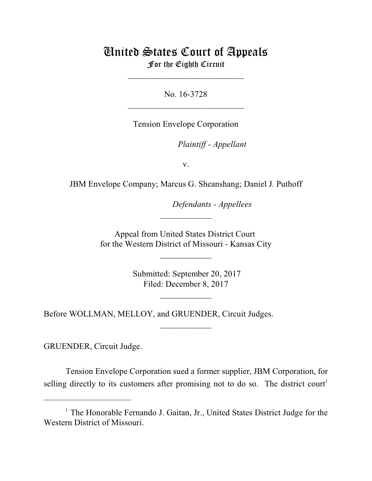# United States Court of Appeals For the Eighth Circuit

\_\_\_\_\_\_\_\_\_\_\_\_\_\_\_\_\_\_\_\_\_\_\_\_\_\_\_

No. 16-3728  $\mathcal{L}_\text{max}$  , which is a set of the set of the set of the set of the set of the set of the set of the set of the set of the set of the set of the set of the set of the set of the set of the set of the set of the set of

Tension Envelope Corporation

lllllllllllllllllllll *Plaintiff - Appellant*

v.

JBM Envelope Company; Marcus G. Sheanshang; Daniel J. Puthoff

**Defendants - Appellees** 

Appeal from United States District Court for the Western District of Missouri - Kansas City

 $\overline{\phantom{a}}$  , where  $\overline{\phantom{a}}$ 

 $\frac{1}{2}$ 

 Submitted: September 20, 2017 Filed: December 8, 2017

 $\frac{1}{2}$ 

 $\overline{\phantom{a}}$  , where  $\overline{\phantom{a}}$ 

Before WOLLMAN, MELLOY, and GRUENDER, Circuit Judges.

GRUENDER, Circuit Judge.

Tension Envelope Corporation sued a former supplier, JBM Corporation, for selling directly to its customers after promising not to do so. The district court<sup>1</sup>

<sup>&</sup>lt;sup>1</sup> The Honorable Fernando J. Gaitan, Jr., United States District Judge for the Western District of Missouri.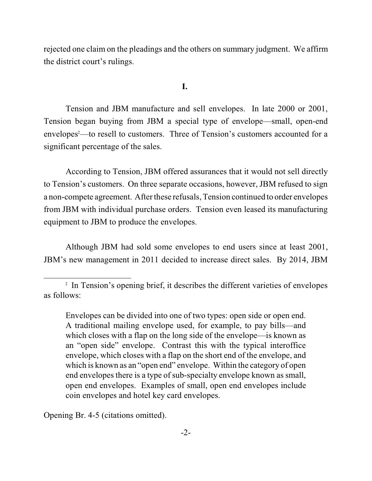rejected one claim on the pleadings and the others on summary judgment. We affirm the district court's rulings.

#### **I.**

Tension and JBM manufacture and sell envelopes. In late 2000 or 2001, Tension began buying from JBM a special type of envelope—small, open-end envelopes<sup>2</sup>—to resell to customers. Three of Tension's customers accounted for a significant percentage of the sales.

According to Tension, JBM offered assurances that it would not sell directly to Tension's customers. On three separate occasions, however, JBM refused to sign a non-compete agreement. After these refusals, Tension continued to order envelopes from JBM with individual purchase orders. Tension even leased its manufacturing equipment to JBM to produce the envelopes.

Although JBM had sold some envelopes to end users since at least 2001, JBM's new management in 2011 decided to increase direct sales. By 2014, JBM

Opening Br. 4-5 (citations omitted).

 $2 \text{ In Tension's opening brief, it describes the different varieties of envelopes}$ as follows:

Envelopes can be divided into one of two types: open side or open end. A traditional mailing envelope used, for example, to pay bills—and which closes with a flap on the long side of the envelope—is known as an "open side" envelope. Contrast this with the typical interoffice envelope, which closes with a flap on the short end of the envelope, and which is known as an "open end" envelope. Within the category of open end envelopes there is a type of sub-specialty envelope known as small, open end envelopes. Examples of small, open end envelopes include coin envelopes and hotel key card envelopes.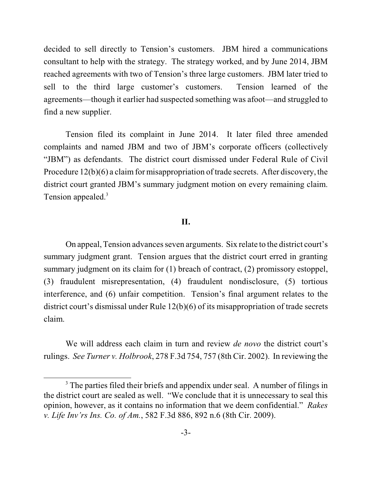decided to sell directly to Tension's customers. JBM hired a communications consultant to help with the strategy. The strategy worked, and by June 2014, JBM reached agreements with two of Tension's three large customers. JBM later tried to sell to the third large customer's customers. Tension learned of the agreements—though it earlier had suspected something was afoot—and struggled to find a new supplier.

Tension filed its complaint in June 2014. It later filed three amended complaints and named JBM and two of JBM's corporate officers (collectively "JBM") as defendants. The district court dismissed under Federal Rule of Civil Procedure  $12(b)(6)$  a claim for misappropriation of trade secrets. After discovery, the district court granted JBM's summary judgment motion on every remaining claim. Tension appealed.<sup>3</sup>

## **II.**

On appeal, Tension advances seven arguments. Six relate to the district court's summary judgment grant. Tension argues that the district court erred in granting summary judgment on its claim for (1) breach of contract, (2) promissory estoppel, (3) fraudulent misrepresentation, (4) fraudulent nondisclosure, (5) tortious interference, and (6) unfair competition. Tension's final argument relates to the district court's dismissal under Rule 12(b)(6) of its misappropriation of trade secrets claim.

We will address each claim in turn and review *de novo* the district court's rulings. *See Turner v. Holbrook*, 278 F.3d 754, 757 (8th Cir. 2002). In reviewing the

<sup>&</sup>lt;sup>3</sup> The parties filed their briefs and appendix under seal. A number of filings in the district court are sealed as well. "We conclude that it is unnecessary to seal this opinion, however, as it contains no information that we deem confidential." *Rakes v. Life Inv'rs Ins. Co. of Am.*, 582 F.3d 886, 892 n.6 (8th Cir. 2009).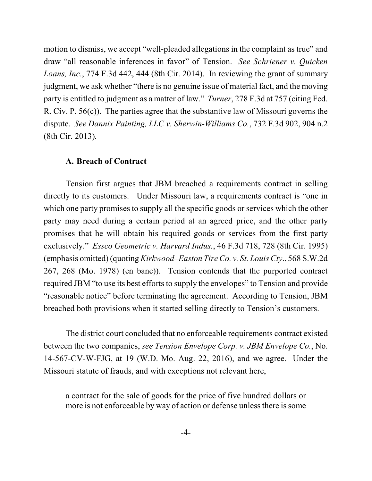motion to dismiss, we accept "well-pleaded allegations in the complaint as true" and draw "all reasonable inferences in favor" of Tension. *See Schriener v. Quicken Loans, Inc.*, 774 F.3d 442, 444 (8th Cir. 2014). In reviewing the grant of summary judgment, we ask whether "there is no genuine issue of material fact, and the moving party is entitled to judgment as a matter of law." *Turner*, 278 F.3d at 757 (citing Fed. R. Civ. P. 56(c)). The parties agree that the substantive law of Missouri governs the dispute. *See Dannix Painting, LLC v. Sherwin-Williams Co.*, 732 F.3d 902, 904 n.2 (8th Cir. 2013)*.*

#### **A. Breach of Contract**

Tension first argues that JBM breached a requirements contract in selling directly to its customers. Under Missouri law, a requirements contract is "one in which one party promises to supply all the specific goods or services which the other party may need during a certain period at an agreed price, and the other party promises that he will obtain his required goods or services from the first party exclusively." *Essco Geometric v. Harvard Indus.*, 46 F.3d 718, 728 (8th Cir. 1995) (emphasis omitted) (quoting *Kirkwood–Easton TireCo. v. St. Louis Cty*., 568 S.W.2d 267, 268 (Mo. 1978) (en banc)). Tension contends that the purported contract required JBM "to use its best efforts to supply the envelopes" to Tension and provide "reasonable notice" before terminating the agreement. According to Tension, JBM breached both provisions when it started selling directly to Tension's customers.

The district court concluded that no enforceable requirements contract existed between the two companies, *see Tension Envelope Corp. v. JBM Envelope Co.*, No. 14-567-CV-W-FJG, at 19 (W.D. Mo. Aug. 22, 2016), and we agree. Under the Missouri statute of frauds, and with exceptions not relevant here,

a contract for the sale of goods for the price of five hundred dollars or more is not enforceable by way of action or defense unless there is some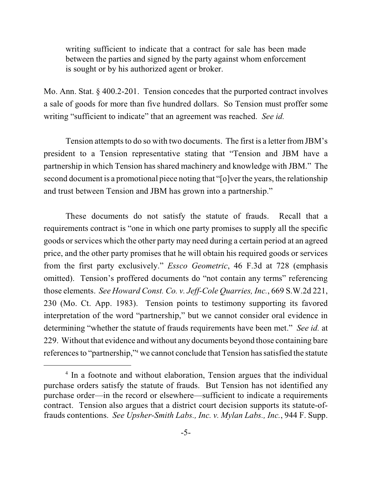writing sufficient to indicate that a contract for sale has been made between the parties and signed by the party against whom enforcement is sought or by his authorized agent or broker.

Mo. Ann. Stat. § 400.2-201. Tension concedes that the purported contract involves a sale of goods for more than five hundred dollars. So Tension must proffer some writing "sufficient to indicate" that an agreement was reached. *See id.*

Tension attempts to do so with two documents. The first is a letter fromJBM's president to a Tension representative stating that "Tension and JBM have a partnership in which Tension has shared machinery and knowledge with JBM." The second document is a promotional piece noting that "[o]ver the years, the relationship and trust between Tension and JBM has grown into a partnership."

These documents do not satisfy the statute of frauds. Recall that a requirements contract is "one in which one party promises to supply all the specific goods orservices which the other party may need during a certain period at an agreed price, and the other party promises that he will obtain his required goods or services from the first party exclusively." *Essco Geometric*, 46 F.3d at 728 (emphasis omitted). Tension's proffered documents do "not contain any terms" referencing those elements. *See Howard Const. Co. v. Jeff-Cole Quarries, Inc.*, 669 S.W.2d 221, 230 (Mo. Ct. App. 1983). Tension points to testimony supporting its favored interpretation of the word "partnership," but we cannot consider oral evidence in determining "whether the statute of frauds requirements have been met." *See id.* at 229. Without that evidence and without any documents beyond those containing bare references to "partnership,"<sup>4</sup> we cannot conclude that Tension has satisfied the statute

 $<sup>4</sup>$  In a footnote and without elaboration, Tension argues that the individual</sup> purchase orders satisfy the statute of frauds. But Tension has not identified any purchase order—in the record or elsewhere—sufficient to indicate a requirements contract. Tension also argues that a district court decision supports its statute-offrauds contentions. *See Upsher-Smith Labs., Inc. v. Mylan Labs., Inc.*, 944 F. Supp.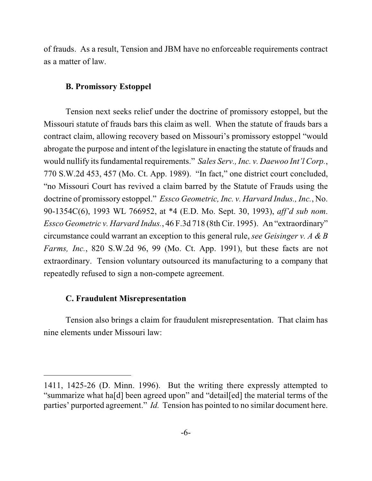of frauds. As a result, Tension and JBM have no enforceable requirements contract as a matter of law.

## **B. Promissory Estoppel**

Tension next seeks relief under the doctrine of promissory estoppel, but the Missouri statute of frauds bars this claim as well. When the statute of frauds bars a contract claim, allowing recovery based on Missouri's promissory estoppel "would abrogate the purpose and intent of the legislature in enacting the statute of frauds and would nullify its fundamental requirements." *Sales Serv., Inc. v. Daewoo Int'l Corp.*, 770 S.W.2d 453, 457 (Mo. Ct. App. 1989). "In fact," one district court concluded, "no Missouri Court has revived a claim barred by the Statute of Frauds using the doctrine of promissory estoppel." *Essco Geometric, Inc. v. Harvard Indus., Inc.*, No. 90-1354C(6), 1993 WL 766952, at \*4 (E.D. Mo. Sept. 30, 1993), *aff'd sub nom*. *Essco Geometric v. Harvard Indus.*, 46 F.3d 718 (8th Cir. 1995). An "extraordinary" circumstance could warrant an exception to this general rule, *see Geisinger v. A & B Farms, Inc.*, 820 S.W.2d 96, 99 (Mo. Ct. App. 1991), but these facts are not extraordinary. Tension voluntary outsourced its manufacturing to a company that repeatedly refused to sign a non-compete agreement.

# **C. Fraudulent Misrepresentation**

Tension also brings a claim for fraudulent misrepresentation. That claim has nine elements under Missouri law:

<sup>1411, 1425-26 (</sup>D. Minn. 1996). But the writing there expressly attempted to "summarize what ha[d] been agreed upon" and "detail[ed] the material terms of the parties' purported agreement." *Id.* Tension has pointed to no similar document here.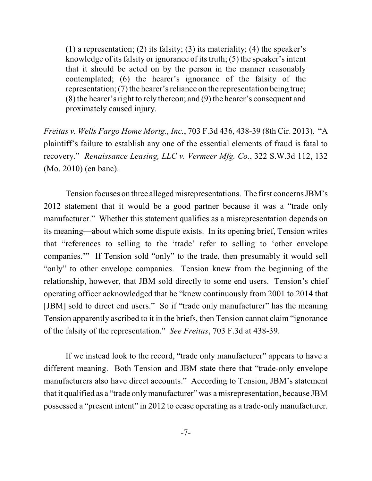(1) a representation; (2) its falsity; (3) its materiality; (4) the speaker's knowledge of its falsity or ignorance of its truth; (5) the speaker's intent that it should be acted on by the person in the manner reasonably contemplated; (6) the hearer's ignorance of the falsity of the representation; (7) the hearer's reliance on the representation being true; (8) the hearer's right to rely thereon; and (9) the hearer's consequent and proximately caused injury.

*Freitas v. Wells Fargo Home Mortg., Inc.*, 703 F.3d 436, 438-39 (8th Cir. 2013). "A plaintiff's failure to establish any one of the essential elements of fraud is fatal to recovery." *Renaissance Leasing, LLC v. Vermeer Mfg. Co.*, 322 S.W.3d 112, 132 (Mo. 2010) (en banc).

Tension focuses on three alleged misrepresentations. The first concerns JBM's 2012 statement that it would be a good partner because it was a "trade only manufacturer." Whether this statement qualifies as a misrepresentation depends on its meaning—about which some dispute exists. In its opening brief, Tension writes that "references to selling to the 'trade' refer to selling to 'other envelope companies.'" If Tension sold "only" to the trade, then presumably it would sell "only" to other envelope companies. Tension knew from the beginning of the relationship, however, that JBM sold directly to some end users. Tension's chief operating officer acknowledged that he "knew continuously from 2001 to 2014 that [JBM] sold to direct end users." So if "trade only manufacturer" has the meaning Tension apparently ascribed to it in the briefs, then Tension cannot claim "ignorance of the falsity of the representation." *See Freitas*, 703 F.3d at 438-39.

If we instead look to the record, "trade only manufacturer" appears to have a different meaning. Both Tension and JBM state there that "trade-only envelope manufacturers also have direct accounts." According to Tension, JBM's statement that it qualified as a "trade only manufacturer" was a misrepresentation, because JBM possessed a "present intent" in 2012 to cease operating as a trade-only manufacturer.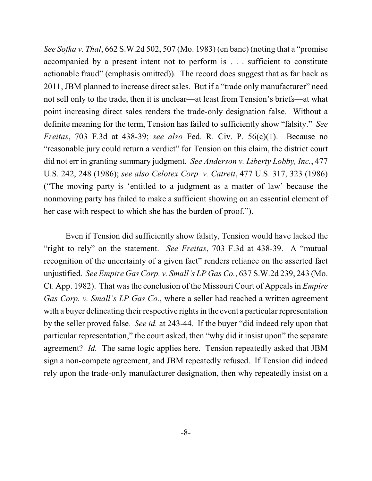*See Sofka v. Thal*, 662 S.W.2d 502, 507 (Mo. 1983) (en banc) (noting that a "promise accompanied by a present intent not to perform is . . . sufficient to constitute actionable fraud" (emphasis omitted)). The record does suggest that as far back as 2011, JBM planned to increase direct sales. But if a "trade only manufacturer" need not sell only to the trade, then it is unclear—at least from Tension's briefs—at what point increasing direct sales renders the trade-only designation false. Without a definite meaning for the term, Tension has failed to sufficiently show "falsity." *See Freitas*, 703 F.3d at 438-39; *see also* Fed. R. Civ. P. 56(c)(1). Because no "reasonable jury could return a verdict" for Tension on this claim, the district court did not err in granting summary judgment. *See Anderson v. Liberty Lobby, Inc.*, 477 U.S. 242, 248 (1986); *see also Celotex Corp. v. Catrett*, 477 U.S. 317, 323 (1986) ("The moving party is 'entitled to a judgment as a matter of law' because the nonmoving party has failed to make a sufficient showing on an essential element of her case with respect to which she has the burden of proof.").

Even if Tension did sufficiently show falsity, Tension would have lacked the "right to rely" on the statement. *See Freitas*, 703 F.3d at 438-39. A "mutual recognition of the uncertainty of a given fact" renders reliance on the asserted fact unjustified. *See Empire Gas Corp. v. Small's LP Gas Co.*, 637 S.W.2d 239, 243 (Mo. Ct. App. 1982). That wasthe conclusion of the Missouri Court of Appeals in *Empire Gas Corp. v. Small's LP Gas Co.*, where a seller had reached a written agreement with a buyer delineating their respective rights in the event a particular representation by the seller proved false. *See id.* at 243-44. If the buyer "did indeed rely upon that particular representation," the court asked, then "why did it insist upon" the separate agreement? *Id.* The same logic applies here. Tension repeatedly asked that JBM sign a non-compete agreement, and JBM repeatedly refused. If Tension did indeed rely upon the trade-only manufacturer designation, then why repeatedly insist on a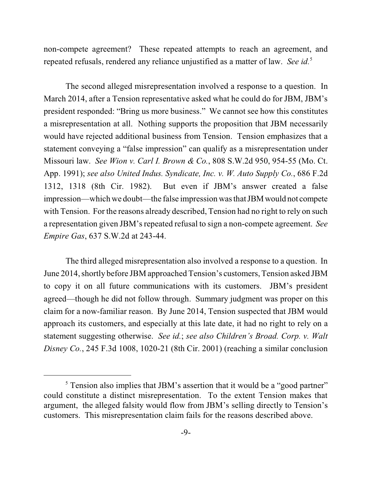non-compete agreement? These repeated attempts to reach an agreement, and repeated refusals, rendered any reliance unjustified as a matter of law. See id.<sup>5</sup>

The second alleged misrepresentation involved a response to a question. In March 2014, after a Tension representative asked what he could do for JBM, JBM's president responded: "Bring us more business." We cannot see how this constitutes a misrepresentation at all. Nothing supports the proposition that JBM necessarily would have rejected additional business from Tension. Tension emphasizes that a statement conveying a "false impression" can qualify as a misrepresentation under Missouri law. *See Wion v. Carl I. Brown & Co.*, 808 S.W.2d 950, 954-55 (Mo. Ct. App. 1991); *see also United Indus. Syndicate, Inc. v. W. Auto Supply Co.*, 686 F.2d 1312, 1318 (8th Cir. 1982). But even if JBM's answer created a false impression—which we doubt—the false impression wasthat JBM would not compete with Tension. For the reasons already described, Tension had no right to rely on such a representation given JBM's repeated refusal to sign a non-compete agreement. *See Empire Gas*, 637 S.W.2d at 243-44.

The third alleged misrepresentation also involved a response to a question. In June 2014, shortly before JBM approached Tension's customers, Tension asked JBM to copy it on all future communications with its customers. JBM's president agreed—though he did not follow through.Summary judgment was proper on this claim for a now-familiar reason. By June 2014, Tension suspected that JBM would approach its customers, and especially at this late date, it had no right to rely on a statement suggesting otherwise. *See id.*; *see also Children's Broad. Corp. v. Walt Disney Co.*, 245 F.3d 1008, 1020-21 (8th Cir. 2001) (reaching a similar conclusion

<sup>&</sup>lt;sup>5</sup> Tension also implies that JBM's assertion that it would be a "good partner" could constitute a distinct misrepresentation. To the extent Tension makes that argument, the alleged falsity would flow from JBM's selling directly to Tension's customers. This misrepresentation claim fails for the reasons described above.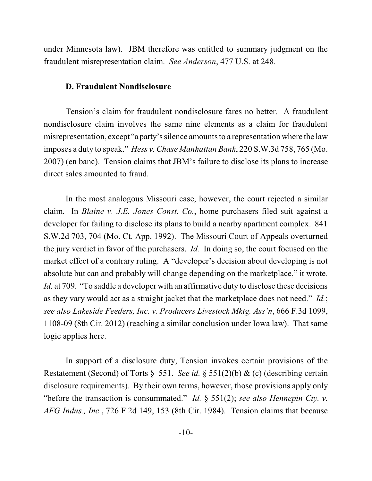under Minnesota law). JBM therefore was entitled to summary judgment on the fraudulent misrepresentation claim. *See Anderson*, 477 U.S. at 248*.*

#### **D. Fraudulent Nondisclosure**

Tension's claim for fraudulent nondisclosure fares no better. A fraudulent nondisclosure claim involves the same nine elements as a claim for fraudulent misrepresentation, except "a party's silence amounts to a representation where the law imposes a duty to speak." *Hess v. Chase Manhattan Bank*, 220 S.W.3d 758, 765 (Mo. 2007) (en banc). Tension claims that JBM's failure to disclose its plans to increase direct sales amounted to fraud.

In the most analogous Missouri case, however, the court rejected a similar claim. In *Blaine v. J.E. Jones Const. Co.*, home purchasers filed suit against a developer for failing to disclose its plans to build a nearby apartment complex. 841 S.W.2d 703, 704 (Mo. Ct. App. 1992). The Missouri Court of Appeals overturned the jury verdict in favor of the purchasers. *Id.* In doing so, the court focused on the market effect of a contrary ruling. A "developer's decision about developing is not absolute but can and probably will change depending on the marketplace," it wrote. *Id.* at 709. "To saddle a developer with an affirmative duty to disclose these decisions as they vary would act as a straight jacket that the marketplace does not need." *Id.*; *see also Lakeside Feeders, Inc. v. Producers Livestock Mktg. Ass'n*, 666 F.3d 1099, 1108-09 (8th Cir. 2012) (reaching a similar conclusion under Iowa law). That same logic applies here.

In support of a disclosure duty, Tension invokes certain provisions of the Restatement (Second) of Torts § 551. *See id.* § 551(2)(b) & (c) (describing certain disclosure requirements). By their own terms, however, those provisions apply only "before the transaction is consummated." *Id.* § 551(2); *see also Hennepin Cty. v. AFG Indus., Inc.*, 726 F.2d 149, 153 (8th Cir. 1984). Tension claims that because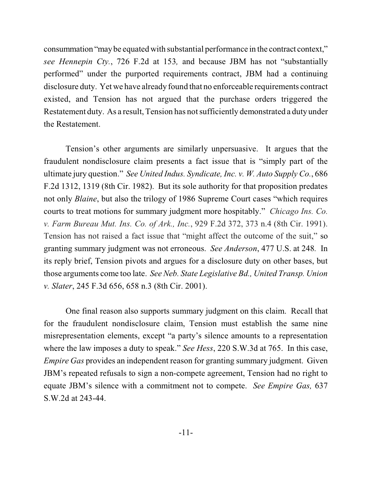consummation "maybe equated with substantial performance in the contract context," *see Hennepin Cty.*, 726 F.2d at 153*,* and because JBM has not "substantially performed" under the purported requirements contract, JBM had a continuing disclosure duty. Yet we have already found that no enforceable requirements contract existed, and Tension has not argued that the purchase orders triggered the Restatement duty. As a result, Tension has not sufficiently demonstrated a duty under the Restatement.

Tension's other arguments are similarly unpersuasive. It argues that the fraudulent nondisclosure claim presents a fact issue that is "simply part of the ultimate jury question." *See United Indus. Syndicate, Inc. v. W. Auto Supply Co.*, 686 F.2d 1312, 1319 (8th Cir. 1982). But its sole authority for that proposition predates not only *Blaine*, but also the trilogy of 1986 Supreme Court cases "which requires courts to treat motions for summary judgment more hospitably." *Chicago Ins. Co. v. Farm Bureau Mut. Ins. Co. of Ark., Inc.*, 929 F.2d 372, 373 n.4 (8th Cir. 1991). Tension has not raised a fact issue that "might affect the outcome of the suit," so granting summary judgment was not erroneous. *See Anderson*, 477 U.S. at 248*.* In its reply brief, Tension pivots and argues for a disclosure duty on other bases, but those arguments come too late. *See Neb. State Legislative Bd., United Transp. Union v. Slater*, 245 F.3d 656, 658 n.3 (8th Cir. 2001).

One final reason also supports summary judgment on this claim. Recall that for the fraudulent nondisclosure claim, Tension must establish the same nine misrepresentation elements, except "a party's silence amounts to a representation where the law imposes a duty to speak." *See Hess*, 220 S.W.3d at 765. In this case, *Empire Gas* provides an independent reason for granting summary judgment. Given JBM's repeated refusals to sign a non-compete agreement, Tension had no right to equate JBM's silence with a commitment not to compete. *See Empire Gas,* 637 S.W.2d at 243-44.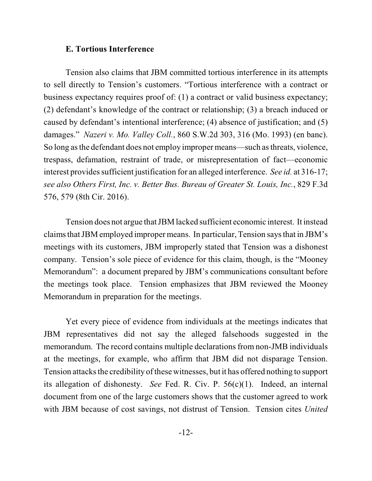### **E. Tortious Interference**

Tension also claims that JBM committed tortious interference in its attempts to sell directly to Tension's customers. "Tortious interference with a contract or business expectancy requires proof of: (1) a contract or valid business expectancy; (2) defendant's knowledge of the contract or relationship; (3) a breach induced or caused by defendant's intentional interference; (4) absence of justification; and (5) damages." *Nazeri v. Mo. Valley Coll.*, 860 S.W.2d 303, 316 (Mo. 1993) (en banc). So long asthe defendant does not employ improper means—such asthreats, violence, trespass, defamation, restraint of trade, or misrepresentation of fact—economic interest provides sufficient justification for an alleged interference. *See id.* at 316-17; *see also Others First, Inc. v. Better Bus. Bureau of Greater St. Louis, Inc.*, 829 F.3d 576, 579 (8th Cir. 2016).

Tension does not argue thatJBM lacked sufficient economic interest. It instead claims thatJBM employed improper means. In particular, Tension says that in JBM's meetings with its customers, JBM improperly stated that Tension was a dishonest company. Tension's sole piece of evidence for this claim, though, is the "Mooney Memorandum": a document prepared by JBM's communications consultant before the meetings took place. Tension emphasizes that JBM reviewed the Mooney Memorandum in preparation for the meetings.

Yet every piece of evidence from individuals at the meetings indicates that JBM representatives did not say the alleged falsehoods suggested in the memorandum. The record contains multiple declarations from non-JMB individuals at the meetings, for example, who affirm that JBM did not disparage Tension. Tension attacks the credibility of these witnesses, but it has offered nothing to support its allegation of dishonesty. *See* Fed. R. Civ. P. 56(c)(1). Indeed, an internal document from one of the large customers shows that the customer agreed to work with JBM because of cost savings, not distrust of Tension. Tension cites *United*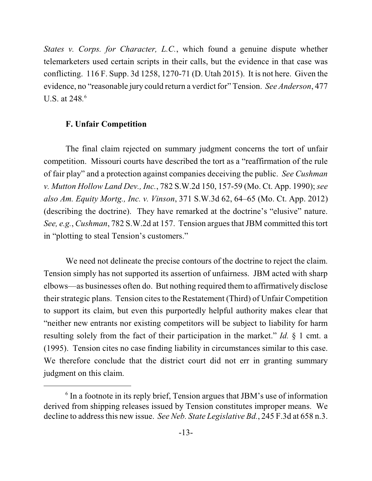*States v. Corps. for Character, L.C.*, which found a genuine dispute whether telemarketers used certain scripts in their calls, but the evidence in that case was conflicting. 116 F. Supp. 3d 1258, 1270-71 (D. Utah 2015). It is not here. Given the evidence, no "reasonable jury could return a verdict for" Tension. *See Anderson*, 477 U.S. at 248*.* 6

## **F. Unfair Competition**

The final claim rejected on summary judgment concerns the tort of unfair competition. Missouri courts have described the tort as a "reaffirmation of the rule of fair play" and a protection against companies deceiving the public. *See Cushman v. Mutton Hollow Land Dev., Inc.*, 782 S.W.2d 150, 157-59 (Mo. Ct. App. 1990); *see also Am. Equity Mortg., Inc. v. Vinson*, 371 S.W.3d 62, 64–65 (Mo. Ct. App. 2012) (describing the doctrine). They have remarked at the doctrine's "elusive" nature. *See, e.g., Cushman, 782 S.W.2d at 157. Tension argues that JBM committed this tort* in "plotting to steal Tension's customers."

We need not delineate the precise contours of the doctrine to reject the claim. Tension simply has not supported its assertion of unfairness. JBM acted with sharp elbows—as businesses often do. But nothing required them to affirmatively disclose their strategic plans. Tension cites to the Restatement (Third) of Unfair Competition to support its claim, but even this purportedly helpful authority makes clear that "neither new entrants nor existing competitors will be subject to liability for harm resulting solely from the fact of their participation in the market." *Id.* § 1 cmt. a (1995). Tension cites no case finding liability in circumstances similar to this case. We therefore conclude that the district court did not err in granting summary judgment on this claim.

 $6$  In a footnote in its reply brief, Tension argues that JBM's use of information derived from shipping releases issued by Tension constitutes improper means. We decline to address this new issue. *See Neb. State Legislative Bd.*, 245 F.3d at 658 n.3.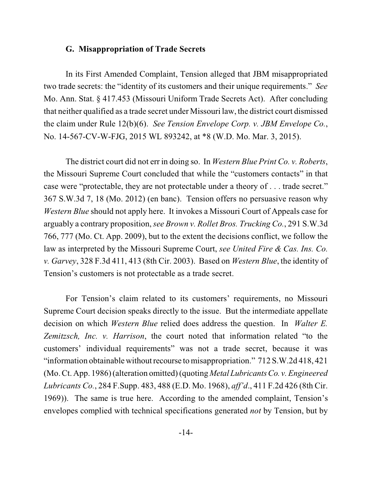#### **G. Misappropriation of Trade Secrets**

In its First Amended Complaint, Tension alleged that JBM misappropriated two trade secrets: the "identity of its customers and their unique requirements." *See* Mo. Ann. Stat. § 417.453 (Missouri Uniform Trade Secrets Act). After concluding that neither qualified as a trade secret under Missouri law, the district court dismissed the claim under Rule 12(b)(6). *See Tension Envelope Corp. v. JBM Envelope Co.*, No. 14-567-CV-W-FJG, 2015 WL 893242, at \*8 (W.D. Mo. Mar. 3, 2015).

The district court did not err in doing so. In *Western Blue Print Co. v. Roberts*, the Missouri Supreme Court concluded that while the "customers contacts" in that case were "protectable, they are not protectable under a theory of . . . trade secret." 367 S.W.3d 7, 18 (Mo. 2012) (en banc). Tension offers no persuasive reason why *Western Blue* should not apply here. It invokes a Missouri Court of Appeals case for arguably a contrary proposition, *see Brown v. Rollet Bros. Trucking Co.*, 291 S.W.3d 766, 777 (Mo. Ct. App. 2009), but to the extent the decisions conflict, we follow the law as interpreted by the Missouri Supreme Court, *see United Fire & Cas. Ins. Co. v. Garvey*, 328 F.3d 411, 413 (8th Cir. 2003). Based on *Western Blue*, the identity of Tension's customers is not protectable as a trade secret.

For Tension's claim related to its customers' requirements, no Missouri Supreme Court decision speaks directly to the issue. But the intermediate appellate decision on which *Western Blue* relied does address the question. In *Walter E. Zemitzsch, Inc. v. Harrison*, the court noted that information related "to the customers' individual requirements" was not a trade secret, because it was "information obtainable without recourse to misappropriation." 712 S.W.2d 418, 421 (Mo. Ct. App. 1986) (alteration omitted)(quoting *Metal LubricantsCo. v. Engineered Lubricants Co.*, 284 F.Supp. 483, 488 (E.D. Mo. 1968), *aff'd*., 411 F.2d 426 (8th Cir. 1969)). The same is true here. According to the amended complaint, Tension's envelopes complied with technical specifications generated *not* by Tension, but by